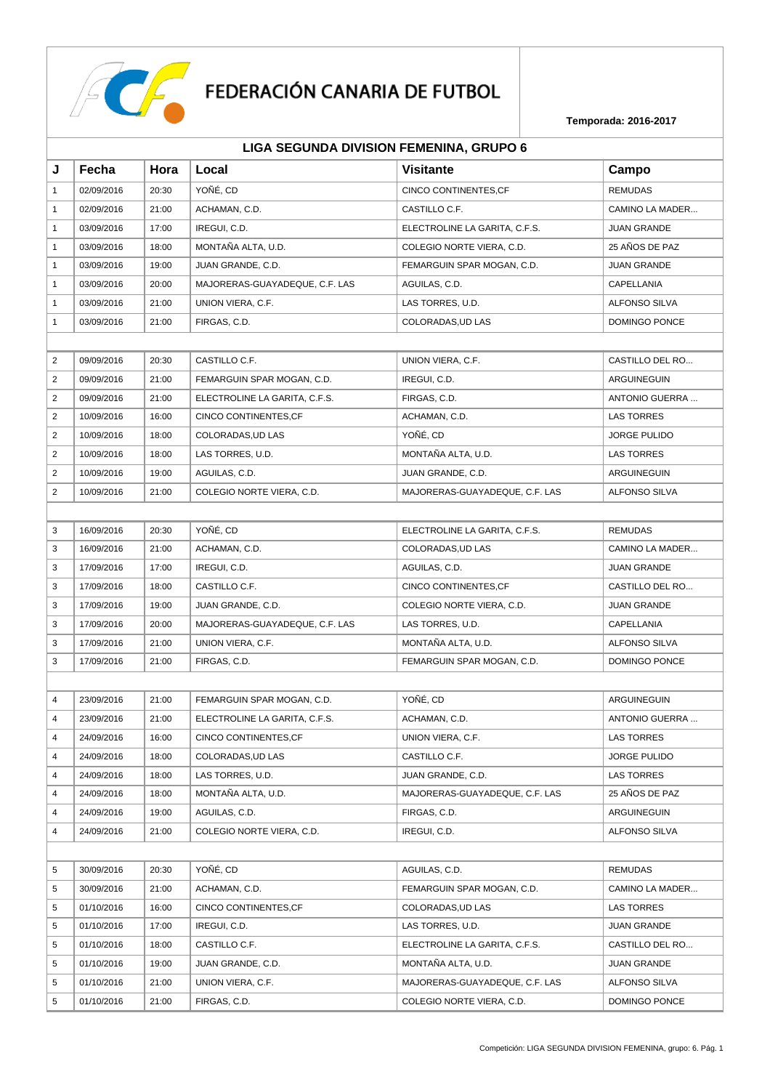

|                | LIGA SEGUNDA DIVISION FEMENINA, GRUPO 6 |       |                                |                                |                      |  |  |
|----------------|-----------------------------------------|-------|--------------------------------|--------------------------------|----------------------|--|--|
| J              | Fecha                                   | Hora  | Local                          | <b>Visitante</b>               | Campo                |  |  |
| $\mathbf{1}$   | 02/09/2016                              | 20:30 | YOÑÉ, CD                       | CINCO CONTINENTES, CF          | <b>REMUDAS</b>       |  |  |
| $\mathbf{1}$   | 02/09/2016                              | 21:00 | ACHAMAN, C.D.                  | CASTILLO C.F.                  | CAMINO LA MADER      |  |  |
| $\mathbf{1}$   | 03/09/2016                              | 17:00 | IREGUI, C.D.                   | ELECTROLINE LA GARITA, C.F.S.  | <b>JUAN GRANDE</b>   |  |  |
| $\mathbf{1}$   | 03/09/2016                              | 18:00 | MONTAÑA ALTA, U.D.             | COLEGIO NORTE VIERA, C.D.      | 25 AÑOS DE PAZ       |  |  |
| $\mathbf{1}$   | 03/09/2016                              | 19:00 | JUAN GRANDE, C.D.              | FEMARGUIN SPAR MOGAN, C.D.     | <b>JUAN GRANDE</b>   |  |  |
| $\mathbf{1}$   | 03/09/2016                              | 20:00 | MAJORERAS-GUAYADEQUE, C.F. LAS | AGUILAS, C.D.                  | CAPELLANIA           |  |  |
| $\mathbf{1}$   | 03/09/2016                              | 21:00 | UNION VIERA, C.F.              | LAS TORRES, U.D.               | <b>ALFONSO SILVA</b> |  |  |
| $\mathbf{1}$   | 03/09/2016                              | 21:00 | FIRGAS, C.D.                   | COLORADAS, UD LAS              | DOMINGO PONCE        |  |  |
|                |                                         |       |                                |                                |                      |  |  |
| $\overline{2}$ | 09/09/2016                              | 20:30 | CASTILLO C.F.                  | UNION VIERA, C.F.              | CASTILLO DEL RO      |  |  |
| $\overline{2}$ | 09/09/2016                              | 21:00 | FEMARGUIN SPAR MOGAN, C.D.     | IREGUI, C.D.                   | ARGUINEGUIN          |  |  |
| 2              | 09/09/2016                              | 21:00 | ELECTROLINE LA GARITA, C.F.S.  | FIRGAS, C.D.                   | ANTONIO GUERRA       |  |  |
| $\overline{2}$ | 10/09/2016                              | 16:00 | CINCO CONTINENTES, CF          | ACHAMAN, C.D.                  | <b>LAS TORRES</b>    |  |  |
| 2              | 10/09/2016                              | 18:00 | COLORADAS, UD LAS              | YOÑÉ, CD                       | <b>JORGE PULIDO</b>  |  |  |
| $\overline{2}$ | 10/09/2016                              | 18:00 | LAS TORRES, U.D.               | MONTAÑA ALTA, U.D.             | <b>LAS TORRES</b>    |  |  |
| $\overline{2}$ | 10/09/2016                              | 19:00 | AGUILAS, C.D.                  | JUAN GRANDE, C.D.              | ARGUINEGUIN          |  |  |
| $\overline{2}$ | 10/09/2016                              | 21:00 | COLEGIO NORTE VIERA, C.D.      | MAJORERAS-GUAYADEQUE, C.F. LAS | <b>ALFONSO SILVA</b> |  |  |
|                |                                         |       |                                |                                |                      |  |  |
| 3              | 16/09/2016                              | 20:30 | YOÑÉ, CD                       | ELECTROLINE LA GARITA, C.F.S.  | <b>REMUDAS</b>       |  |  |
| 3              | 16/09/2016                              | 21:00 | ACHAMAN, C.D.                  | COLORADAS, UD LAS              | CAMINO LA MADER      |  |  |
| 3              | 17/09/2016                              | 17:00 | IREGUI, C.D.                   | AGUILAS, C.D.                  | <b>JUAN GRANDE</b>   |  |  |
| 3              | 17/09/2016                              | 18:00 | CASTILLO C.F.                  | CINCO CONTINENTES, CF          | CASTILLO DEL RO      |  |  |
| 3              | 17/09/2016                              | 19:00 | JUAN GRANDE, C.D.              | COLEGIO NORTE VIERA, C.D.      | <b>JUAN GRANDE</b>   |  |  |
| 3              | 17/09/2016                              | 20:00 | MAJORERAS-GUAYADEQUE, C.F. LAS | LAS TORRES, U.D.               | CAPELLANIA           |  |  |
| 3              | 17/09/2016                              | 21:00 | UNION VIERA, C.F.              | MONTAÑA ALTA, U.D.             | <b>ALFONSO SILVA</b> |  |  |
| 3              | 17/09/2016                              | 21:00 | FIRGAS, C.D.                   | FEMARGUIN SPAR MOGAN, C.D.     | DOMINGO PONCE        |  |  |
|                |                                         |       |                                |                                |                      |  |  |
| 4              | 23/09/2016                              | 21:00 | FEMARGUIN SPAR MOGAN, C.D.     | YOÑÉ, CD                       | ARGUINEGUIN          |  |  |
| $\overline{4}$ | 23/09/2016                              | 21:00 | ELECTROLINE LA GARITA, C.F.S.  | ACHAMAN, C.D.                  | ANTONIO GUERRA       |  |  |
| 4              | 24/09/2016                              | 16:00 | CINCO CONTINENTES, CF          | UNION VIERA, C.F.              | <b>LAS TORRES</b>    |  |  |
| 4              | 24/09/2016                              | 18:00 | COLORADAS.UD LAS               | CASTILLO C.F.                  | <b>JORGE PULIDO</b>  |  |  |
| 4              | 24/09/2016                              | 18:00 | LAS TORRES, U.D.               | JUAN GRANDE, C.D.              | <b>LAS TORRES</b>    |  |  |
| 4              | 24/09/2016                              | 18:00 | MONTAÑA ALTA, U.D.             | MAJORERAS-GUAYADEQUE, C.F. LAS | 25 AÑOS DE PAZ       |  |  |
| 4              | 24/09/2016                              | 19:00 | AGUILAS, C.D.                  | FIRGAS, C.D.                   | ARGUINEGUIN          |  |  |
| 4              | 24/09/2016                              | 21:00 | COLEGIO NORTE VIERA, C.D.      | IREGUI, C.D.                   | <b>ALFONSO SILVA</b> |  |  |
|                |                                         |       |                                |                                |                      |  |  |
| 5              | 30/09/2016                              | 20:30 | YOÑÉ, CD                       | AGUILAS, C.D.                  | <b>REMUDAS</b>       |  |  |
| 5              | 30/09/2016                              | 21:00 | ACHAMAN, C.D.                  | FEMARGUIN SPAR MOGAN, C.D.     | CAMINO LA MADER      |  |  |
| 5              | 01/10/2016                              | 16:00 | CINCO CONTINENTES, CF          | COLORADAS, UD LAS              | <b>LAS TORRES</b>    |  |  |
| 5              | 01/10/2016                              | 17:00 | IREGUI, C.D.                   | LAS TORRES, U.D.               | <b>JUAN GRANDE</b>   |  |  |
| 5              | 01/10/2016                              | 18:00 | CASTILLO C.F.                  | ELECTROLINE LA GARITA, C.F.S.  | CASTILLO DEL RO      |  |  |
| 5              | 01/10/2016                              | 19:00 | JUAN GRANDE, C.D.              | MONTAÑA ALTA, U.D.             | <b>JUAN GRANDE</b>   |  |  |
| 5              | 01/10/2016                              | 21:00 | UNION VIERA, C.F.              | MAJORERAS-GUAYADEQUE, C.F. LAS | ALFONSO SILVA        |  |  |
| 5              | 01/10/2016                              | 21:00 | FIRGAS, C.D.                   | COLEGIO NORTE VIERA, C.D.      | DOMINGO PONCE        |  |  |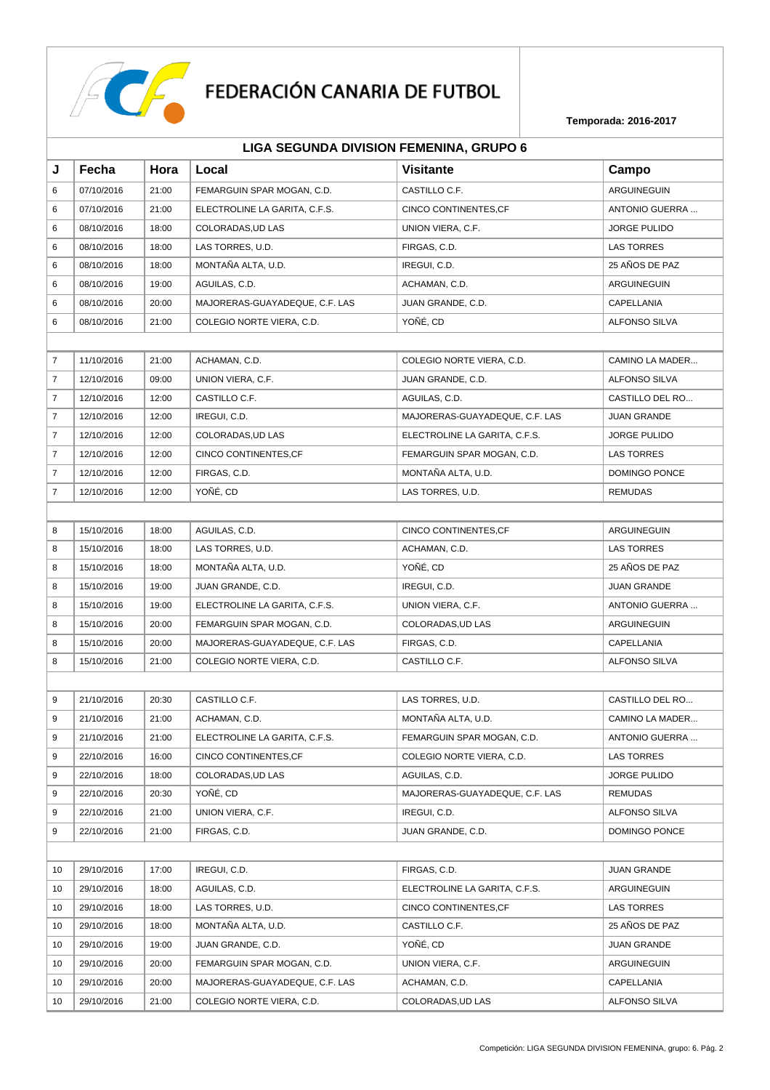

| LIGA SEGUNDA DIVISION FEMENINA, GRUPO 6 |  |  |  |
|-----------------------------------------|--|--|--|
|-----------------------------------------|--|--|--|

| J              | Fecha      | Hora  | Local                          | <b>Visitante</b>               | Campo                |  |
|----------------|------------|-------|--------------------------------|--------------------------------|----------------------|--|
| 6              | 07/10/2016 | 21:00 | FEMARGUIN SPAR MOGAN, C.D.     | CASTILLO C.F.                  | ARGUINEGUIN          |  |
| 6              | 07/10/2016 | 21:00 | ELECTROLINE LA GARITA, C.F.S.  | CINCO CONTINENTES, CF          | ANTONIO GUERRA       |  |
| 6              | 08/10/2016 | 18:00 | COLORADAS, UD LAS              | UNION VIERA, C.F.              | <b>JORGE PULIDO</b>  |  |
| 6              | 08/10/2016 | 18:00 | LAS TORRES, U.D.               | FIRGAS, C.D.                   | <b>LAS TORRES</b>    |  |
| 6              | 08/10/2016 | 18:00 | MONTAÑA ALTA, U.D.             | IREGUI, C.D.                   | 25 AÑOS DE PAZ       |  |
| 6              | 08/10/2016 | 19:00 | AGUILAS, C.D.                  | ACHAMAN, C.D.                  | ARGUINEGUIN          |  |
| 6              | 08/10/2016 | 20:00 | MAJORERAS-GUAYADEQUE, C.F. LAS | JUAN GRANDE, C.D.              | CAPELLANIA           |  |
| 6              | 08/10/2016 | 21:00 | COLEGIO NORTE VIERA, C.D.      | YOÑÉ, CD                       | <b>ALFONSO SILVA</b> |  |
|                |            |       |                                |                                |                      |  |
| $\overline{7}$ | 11/10/2016 | 21:00 | ACHAMAN, C.D.                  | COLEGIO NORTE VIERA, C.D.      | CAMINO LA MADER      |  |
| $\overline{7}$ | 12/10/2016 | 09:00 | UNION VIERA, C.F.              | JUAN GRANDE, C.D.              | <b>ALFONSO SILVA</b> |  |
| $\overline{7}$ | 12/10/2016 | 12:00 | CASTILLO C.F.                  | AGUILAS, C.D.                  | CASTILLO DEL RO      |  |
| 7              | 12/10/2016 | 12:00 | IREGUI, C.D.                   | MAJORERAS-GUAYADEQUE, C.F. LAS | <b>JUAN GRANDE</b>   |  |
| $\overline{7}$ | 12/10/2016 | 12:00 | COLORADAS, UD LAS              | ELECTROLINE LA GARITA, C.F.S.  | <b>JORGE PULIDO</b>  |  |
| $\overline{7}$ | 12/10/2016 | 12:00 | CINCO CONTINENTES, CF          | FEMARGUIN SPAR MOGAN, C.D.     | <b>LAS TORRES</b>    |  |
| $\overline{7}$ | 12/10/2016 | 12:00 | FIRGAS, C.D.                   | MONTAÑA ALTA, U.D.             | DOMINGO PONCE        |  |
| 7              | 12/10/2016 | 12:00 | YOÑÉ, CD                       | LAS TORRES, U.D.               | <b>REMUDAS</b>       |  |
|                |            |       |                                |                                |                      |  |
| 8              | 15/10/2016 | 18:00 | AGUILAS, C.D.                  | CINCO CONTINENTES, CF          | ARGUINEGUIN          |  |
| 8              | 15/10/2016 | 18:00 | LAS TORRES, U.D.               | ACHAMAN, C.D.                  | <b>LAS TORRES</b>    |  |
| 8              | 15/10/2016 | 18:00 | MONTAÑA ALTA, U.D.             | YOÑÉ, CD                       | 25 AÑOS DE PAZ       |  |
| 8              | 15/10/2016 | 19:00 | JUAN GRANDE, C.D.              | IREGUI, C.D.                   | <b>JUAN GRANDE</b>   |  |
| 8              | 15/10/2016 | 19:00 | ELECTROLINE LA GARITA, C.F.S.  | UNION VIERA, C.F.              | ANTONIO GUERRA       |  |
| 8              | 15/10/2016 | 20:00 | FEMARGUIN SPAR MOGAN, C.D.     | COLORADAS, UD LAS              | ARGUINEGUIN          |  |
| 8              | 15/10/2016 | 20:00 | MAJORERAS-GUAYADEQUE, C.F. LAS | FIRGAS, C.D.                   | CAPELLANIA           |  |
| 8              | 15/10/2016 | 21:00 | COLEGIO NORTE VIERA, C.D.      | CASTILLO C.F.                  | ALFONSO SILVA        |  |
|                |            |       |                                |                                |                      |  |
| 9              | 21/10/2016 | 20:30 | CASTILLO C.F.                  | LAS TORRES, U.D.               | CASTILLO DEL RO      |  |
| 9              | 21/10/2016 | 21:00 | ACHAMAN, C.D.                  | MONTAÑA ALTA, U.D.             | CAMINO LA MADER      |  |
| 9              | 21/10/2016 | 21:00 | ELECTROLINE LA GARITA, C.F.S.  | FEMARGUIN SPAR MOGAN, C.D.     | ANTONIO GUERRA       |  |
| 9              | 22/10/2016 | 16:00 | CINCO CONTINENTES, CF          | COLEGIO NORTE VIERA, C.D.      | <b>LAS TORRES</b>    |  |
| 9              | 22/10/2016 | 18:00 | COLORADAS, UD LAS              | AGUILAS, C.D.                  | <b>JORGE PULIDO</b>  |  |
| 9              | 22/10/2016 | 20:30 | YOÑÉ, CD                       | MAJORERAS-GUAYADEQUE, C.F. LAS | <b>REMUDAS</b>       |  |
| 9              | 22/10/2016 | 21:00 | UNION VIERA, C.F.              | IREGUI, C.D.                   | ALFONSO SILVA        |  |
| 9              | 22/10/2016 | 21:00 | FIRGAS, C.D.                   | JUAN GRANDE, C.D.              | DOMINGO PONCE        |  |
|                |            |       |                                |                                |                      |  |
| 10             | 29/10/2016 | 17:00 | IREGUI, C.D.                   | FIRGAS, C.D.                   | <b>JUAN GRANDE</b>   |  |
| 10             | 29/10/2016 | 18:00 | AGUILAS, C.D.                  | ELECTROLINE LA GARITA, C.F.S.  | ARGUINEGUIN          |  |
| 10             | 29/10/2016 | 18:00 | LAS TORRES, U.D.               | CINCO CONTINENTES, CF          | <b>LAS TORRES</b>    |  |
| 10             | 29/10/2016 | 18:00 | MONTAÑA ALTA, U.D.             | CASTILLO C.F.                  | 25 AÑOS DE PAZ       |  |
| 10             | 29/10/2016 | 19:00 | JUAN GRANDE, C.D.              | YOÑÉ, CD                       | <b>JUAN GRANDE</b>   |  |
| 10             | 29/10/2016 | 20:00 | FEMARGUIN SPAR MOGAN, C.D.     | UNION VIERA, C.F.              | ARGUINEGUIN          |  |
| 10             | 29/10/2016 | 20:00 | MAJORERAS-GUAYADEQUE, C.F. LAS | ACHAMAN, C.D.                  | CAPELLANIA           |  |
| 10             | 29/10/2016 | 21:00 | COLEGIO NORTE VIERA, C.D.      | COLORADAS, UD LAS              | ALFONSO SILVA        |  |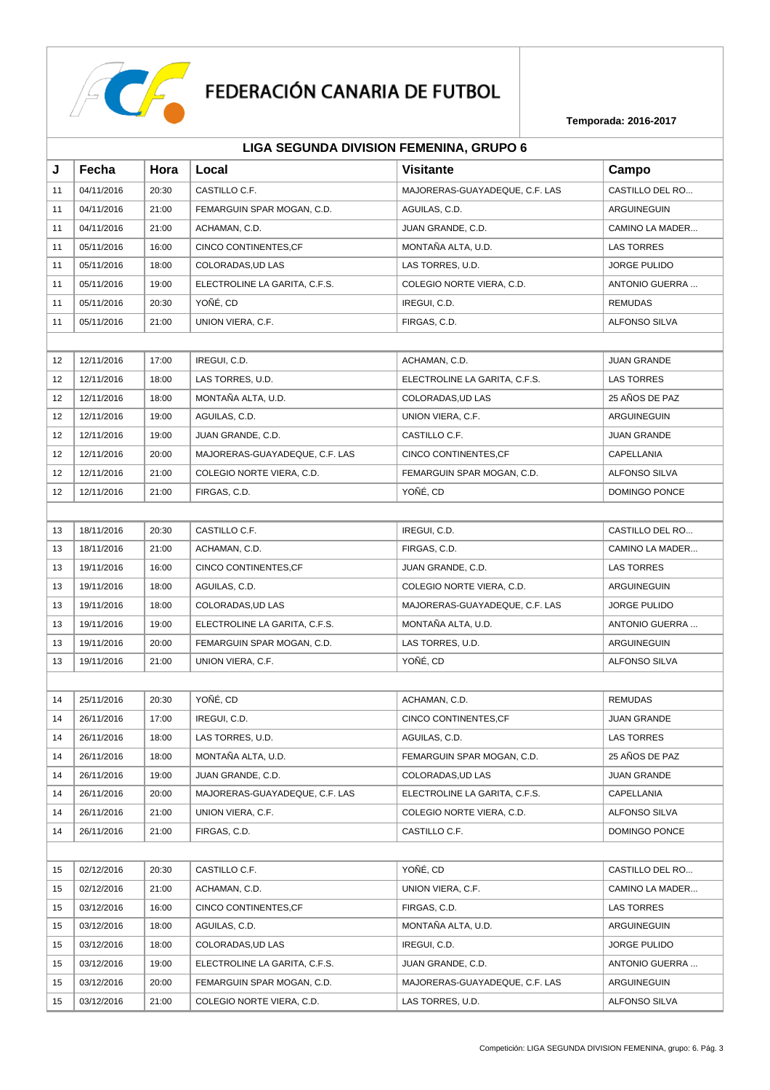

|    | LIGA SEGUNDA DIVISION FEMENINA, GRUPO 6 |       |                                |                                |                      |  |  |  |
|----|-----------------------------------------|-------|--------------------------------|--------------------------------|----------------------|--|--|--|
| J  | Fecha                                   | Hora  | Local                          | <b>Visitante</b>               | Campo                |  |  |  |
| 11 | 04/11/2016                              | 20:30 | CASTILLO C.F.                  | MAJORERAS-GUAYADEQUE, C.F. LAS | CASTILLO DEL RO      |  |  |  |
| 11 | 04/11/2016                              | 21:00 | FEMARGUIN SPAR MOGAN, C.D.     | AGUILAS, C.D.                  | <b>ARGUINEGUIN</b>   |  |  |  |
| 11 | 04/11/2016                              | 21:00 | ACHAMAN, C.D.                  | JUAN GRANDE, C.D.              | CAMINO LA MADER      |  |  |  |
| 11 | 05/11/2016                              | 16:00 | <b>CINCO CONTINENTES, CF</b>   | MONTAÑA ALTA, U.D.             | <b>LAS TORRES</b>    |  |  |  |
| 11 | 05/11/2016                              | 18:00 | COLORADAS, UD LAS              | LAS TORRES, U.D.               | <b>JORGE PULIDO</b>  |  |  |  |
| 11 | 05/11/2016                              | 19:00 | ELECTROLINE LA GARITA, C.F.S.  | COLEGIO NORTE VIERA, C.D.      | ANTONIO GUERRA       |  |  |  |
| 11 | 05/11/2016                              | 20:30 | YOÑÉ, CD                       | IREGUI, C.D.                   | <b>REMUDAS</b>       |  |  |  |
| 11 | 05/11/2016                              | 21:00 | UNION VIERA, C.F.              | FIRGAS, C.D.                   | <b>ALFONSO SILVA</b> |  |  |  |
|    |                                         |       |                                |                                |                      |  |  |  |
| 12 | 12/11/2016                              | 17:00 | IREGUI, C.D.                   | ACHAMAN, C.D.                  | <b>JUAN GRANDE</b>   |  |  |  |
| 12 | 12/11/2016                              | 18:00 | LAS TORRES, U.D.               | ELECTROLINE LA GARITA, C.F.S.  | <b>LAS TORRES</b>    |  |  |  |
| 12 | 12/11/2016                              | 18:00 | MONTAÑA ALTA, U.D.             | COLORADAS.UD LAS               | 25 AÑOS DE PAZ       |  |  |  |
| 12 | 12/11/2016                              | 19:00 | AGUILAS, C.D.                  | UNION VIERA, C.F.              | ARGUINEGUIN          |  |  |  |
| 12 | 12/11/2016                              | 19:00 | JUAN GRANDE, C.D.              | CASTILLO C.F.                  | <b>JUAN GRANDE</b>   |  |  |  |
| 12 | 12/11/2016                              | 20:00 | MAJORERAS-GUAYADEQUE, C.F. LAS | CINCO CONTINENTES, CF          | CAPELLANIA           |  |  |  |
| 12 | 12/11/2016                              | 21:00 | COLEGIO NORTE VIERA, C.D.      | FEMARGUIN SPAR MOGAN, C.D.     | <b>ALFONSO SILVA</b> |  |  |  |
| 12 | 12/11/2016                              | 21:00 | FIRGAS, C.D.                   | YOÑÉ, CD                       | DOMINGO PONCE        |  |  |  |
|    |                                         |       |                                |                                |                      |  |  |  |
| 13 | 18/11/2016                              | 20:30 | CASTILLO C.F.                  | IREGUI, C.D.                   | CASTILLO DEL RO      |  |  |  |
| 13 | 18/11/2016                              | 21:00 | ACHAMAN, C.D.                  | FIRGAS, C.D.                   | CAMINO LA MADER      |  |  |  |
| 13 | 19/11/2016                              | 16:00 | CINCO CONTINENTES, CF          | JUAN GRANDE, C.D.              | <b>LAS TORRES</b>    |  |  |  |
| 13 | 19/11/2016                              | 18:00 | AGUILAS, C.D.                  | COLEGIO NORTE VIERA, C.D.      | ARGUINEGUIN          |  |  |  |
| 13 | 19/11/2016                              | 18:00 | COLORADAS, UD LAS              | MAJORERAS-GUAYADEQUE, C.F. LAS | <b>JORGE PULIDO</b>  |  |  |  |
| 13 | 19/11/2016                              | 19:00 | ELECTROLINE LA GARITA, C.F.S.  | MONTAÑA ALTA, U.D.             | ANTONIO GUERRA       |  |  |  |
| 13 | 19/11/2016                              | 20:00 | FEMARGUIN SPAR MOGAN, C.D.     | LAS TORRES, U.D.               | ARGUINEGUIN          |  |  |  |
| 13 | 19/11/2016                              | 21:00 | UNION VIERA, C.F.              | YOÑÉ, CD                       | <b>ALFONSO SILVA</b> |  |  |  |
|    |                                         |       |                                |                                |                      |  |  |  |
| 14 | 25/11/2016                              | 20:30 | YOÑÉ, CD                       | ACHAMAN, C.D.                  | <b>REMUDAS</b>       |  |  |  |
| 14 | 26/11/2016                              | 17:00 | IREGUI, C.D.                   | CINCO CONTINENTES,CF           | JUAN GRANDE          |  |  |  |
| 14 | 26/11/2016                              | 18:00 | LAS TORRES, U.D.               | AGUILAS, C.D.                  | <b>LAS TORRES</b>    |  |  |  |
| 14 | 26/11/2016                              | 18:00 | MONTAÑA ALTA, U.D.             | FEMARGUIN SPAR MOGAN, C.D.     | 25 AÑOS DE PAZ       |  |  |  |
| 14 | 26/11/2016                              | 19:00 | JUAN GRANDE, C.D.              | COLORADAS.UD LAS               | <b>JUAN GRANDE</b>   |  |  |  |
| 14 | 26/11/2016                              | 20:00 | MAJORERAS-GUAYADEQUE, C.F. LAS | ELECTROLINE LA GARITA, C.F.S.  | CAPELLANIA           |  |  |  |
| 14 | 26/11/2016                              | 21:00 | UNION VIERA, C.F.              | COLEGIO NORTE VIERA, C.D.      | ALFONSO SILVA        |  |  |  |
| 14 | 26/11/2016                              | 21:00 | FIRGAS, C.D.                   | CASTILLO C.F.                  | DOMINGO PONCE        |  |  |  |
|    |                                         |       |                                |                                |                      |  |  |  |
| 15 | 02/12/2016                              | 20:30 | CASTILLO C.F.                  | YOÑÉ, CD                       | CASTILLO DEL RO      |  |  |  |
| 15 | 02/12/2016                              | 21:00 | ACHAMAN, C.D.                  | UNION VIERA, C.F.              | CAMINO LA MADER      |  |  |  |
| 15 | 03/12/2016                              | 16:00 | CINCO CONTINENTES, CF          | FIRGAS, C.D.                   | LAS TORRES           |  |  |  |
| 15 | 03/12/2016                              | 18:00 | AGUILAS, C.D.                  | MONTAÑA ALTA, U.D.             | ARGUINEGUIN          |  |  |  |
| 15 | 03/12/2016                              | 18:00 | COLORADAS, UD LAS              | IREGUI, C.D.                   | <b>JORGE PULIDO</b>  |  |  |  |
| 15 | 03/12/2016                              | 19:00 | ELECTROLINE LA GARITA, C.F.S.  | JUAN GRANDE, C.D.              | ANTONIO GUERRA       |  |  |  |
| 15 | 03/12/2016                              | 20:00 | FEMARGUIN SPAR MOGAN, C.D.     | MAJORERAS-GUAYADEQUE, C.F. LAS | ARGUINEGUIN          |  |  |  |
| 15 | 03/12/2016                              | 21:00 | COLEGIO NORTE VIERA, C.D.      | LAS TORRES, U.D.               | ALFONSO SILVA        |  |  |  |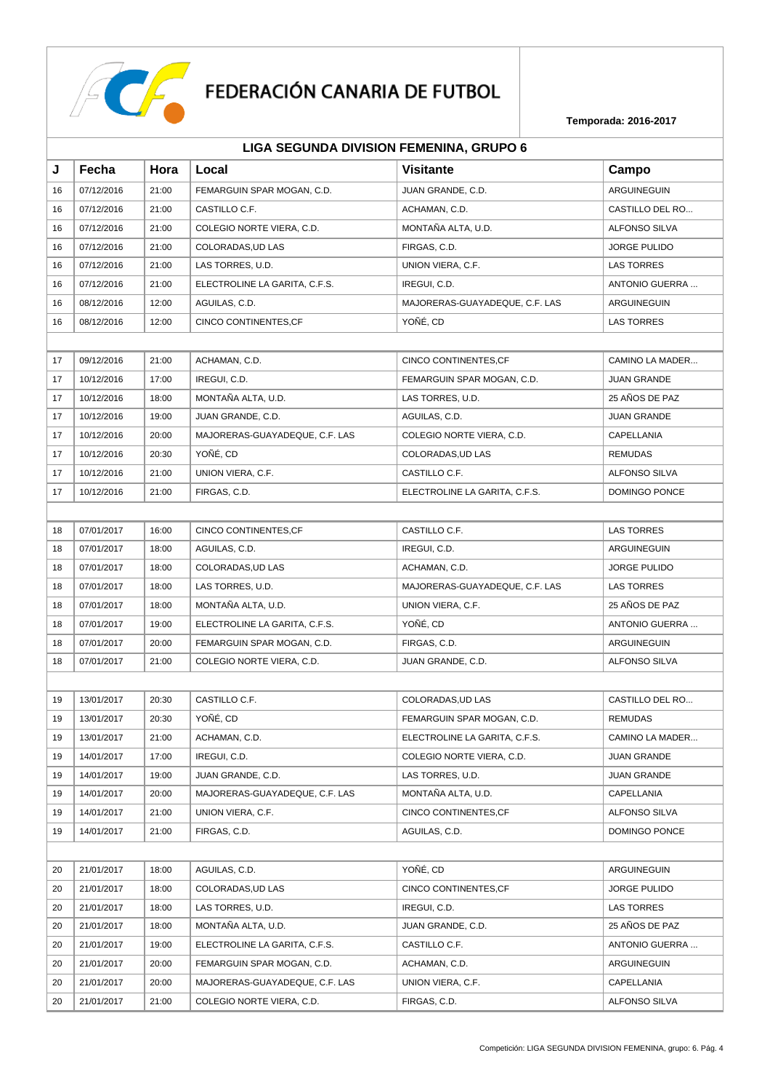

# FEDERACIÓN CANARIA DE FUTBOL

|    |                                         |       |                                |                                | Temporada: 2016-2017 |  |  |
|----|-----------------------------------------|-------|--------------------------------|--------------------------------|----------------------|--|--|
|    | LIGA SEGUNDA DIVISION FEMENINA, GRUPO 6 |       |                                |                                |                      |  |  |
| J  | Fecha                                   | Hora  | Local                          | <b>Visitante</b>               | Campo                |  |  |
| 16 | 07/12/2016                              | 21:00 | FEMARGUIN SPAR MOGAN, C.D.     | JUAN GRANDE, C.D.              | ARGUINEGUIN          |  |  |
| 16 | 07/12/2016                              | 21:00 | CASTILLO C.F.                  | ACHAMAN, C.D.                  | CASTILLO DEL RO      |  |  |
| 16 | 07/12/2016                              | 21:00 | COLEGIO NORTE VIERA, C.D.      | MONTAÑA ALTA, U.D.             | <b>ALFONSO SILVA</b> |  |  |
| 16 | 07/12/2016                              | 21:00 | COLORADAS, UD LAS              | FIRGAS, C.D.                   | <b>JORGE PULIDO</b>  |  |  |
| 16 | 07/12/2016                              | 21:00 | LAS TORRES, U.D.               | UNION VIERA, C.F.              | <b>LAS TORRES</b>    |  |  |
| 16 | 07/12/2016                              | 21:00 | ELECTROLINE LA GARITA, C.F.S.  | IREGUI, C.D.                   | ANTONIO GUERRA       |  |  |
| 16 | 08/12/2016                              | 12:00 | AGUILAS, C.D.                  | MAJORERAS-GUAYADEQUE, C.F. LAS | ARGUINEGUIN          |  |  |
| 16 | 08/12/2016                              | 12:00 | CINCO CONTINENTES, CF          | YOÑÉ, CD                       | <b>LAS TORRES</b>    |  |  |
|    |                                         |       |                                |                                |                      |  |  |
| 17 | 09/12/2016                              | 21:00 | ACHAMAN, C.D.                  | CINCO CONTINENTES, CF          | CAMINO LA MADER      |  |  |
| 17 | 10/12/2016                              | 17:00 | IREGUI, C.D.                   | FEMARGUIN SPAR MOGAN, C.D.     | <b>JUAN GRANDE</b>   |  |  |
| 17 | 10/12/2016                              | 18:00 | MONTAÑA ALTA, U.D.             | LAS TORRES, U.D.               | 25 AÑOS DE PAZ       |  |  |
| 17 | 10/12/2016                              | 19:00 | JUAN GRANDE, C.D.              | AGUILAS, C.D.                  | <b>JUAN GRANDE</b>   |  |  |
| 17 | 10/12/2016                              | 20:00 | MAJORERAS-GUAYADEQUE, C.F. LAS | COLEGIO NORTE VIERA, C.D.      | CAPELLANIA           |  |  |
| 17 | 10/12/2016                              | 20:30 | YOÑÉ, CD                       | COLORADAS, UD LAS              | <b>REMUDAS</b>       |  |  |
| 17 | 10/12/2016                              | 21:00 | UNION VIERA, C.F.              | CASTILLO C.F.                  | <b>ALFONSO SILVA</b> |  |  |
| 17 | 10/12/2016                              | 21:00 | FIRGAS, C.D.                   | ELECTROLINE LA GARITA, C.F.S.  | <b>DOMINGO PONCE</b> |  |  |
|    |                                         |       |                                |                                |                      |  |  |
| 18 | 07/01/2017                              | 16:00 | CINCO CONTINENTES, CF          | CASTILLO C.F.                  | <b>LAS TORRES</b>    |  |  |
| 18 | 07/01/2017                              | 18:00 | AGUILAS, C.D.                  | IREGUI, C.D.                   | ARGUINEGUIN          |  |  |
| 18 | 07/01/2017                              | 18:00 | COLORADAS, UD LAS              | ACHAMAN, C.D.                  | <b>JORGE PULIDO</b>  |  |  |
| 18 | 07/01/2017                              | 18:00 | LAS TORRES, U.D.               | MAJORERAS-GUAYADEQUE, C.F. LAS | <b>LAS TORRES</b>    |  |  |
| 18 | 07/01/2017                              | 18:00 | MONTAÑA ALTA, U.D.             | UNION VIERA, C.F.              | 25 AÑOS DE PAZ       |  |  |
| 18 | 07/01/2017                              | 19:00 | ELECTROLINE LA GARITA, C.F.S.  | YOÑÉ, CD                       | ANTONIO GUERRA       |  |  |
| 18 | 07/01/2017                              | 20:00 | FEMARGUIN SPAR MOGAN, C.D.     | FIRGAS, C.D.                   | ARGUINEGUIN          |  |  |
| 18 | 07/01/2017                              | 21:00 | COLEGIO NORTE VIERA, C.D.      | JUAN GRANDE, C.D.              | <b>ALFONSO SILVA</b> |  |  |
|    |                                         |       |                                |                                |                      |  |  |
| 19 | 13/01/2017                              | 20:30 | CASTILLO C.F.                  | COLORADAS, UD LAS              | CASTILLO DEL RO      |  |  |
| 19 | 13/01/2017                              | 20:30 | YOÑÉ, CD                       | FEMARGUIN SPAR MOGAN, C.D.     | <b>REMUDAS</b>       |  |  |
| 19 | 13/01/2017                              | 21:00 | ACHAMAN, C.D.                  | ELECTROLINE LA GARITA, C.F.S.  | CAMINO LA MADER      |  |  |
| 19 | 14/01/2017                              | 17:00 | IREGUI, C.D.                   | COLEGIO NORTE VIERA, C.D.      | JUAN GRANDE          |  |  |
| 19 | 14/01/2017                              | 19:00 | JUAN GRANDE, C.D.              | LAS TORRES, U.D.               | <b>JUAN GRANDE</b>   |  |  |
| 19 | 14/01/2017                              | 20:00 | MAJORERAS-GUAYADEQUE, C.F. LAS | MONTAÑA ALTA, U.D.             | CAPELLANIA           |  |  |
| 19 | 14/01/2017                              | 21:00 | UNION VIERA, C.F.              | CINCO CONTINENTES, CF          | ALFONSO SILVA        |  |  |
| 19 | 14/01/2017                              | 21:00 | FIRGAS, C.D.                   | AGUILAS, C.D.                  | DOMINGO PONCE        |  |  |
|    |                                         |       |                                |                                |                      |  |  |
| 20 | 21/01/2017                              | 18:00 | AGUILAS, C.D.                  | YOÑÉ, CD                       | ARGUINEGUIN          |  |  |
| 20 | 21/01/2017                              | 18:00 | COLORADAS, UD LAS              | CINCO CONTINENTES, CF          | JORGE PULIDO         |  |  |
| 20 | 21/01/2017                              | 18:00 | LAS TORRES, U.D.               | IREGUI, C.D.                   | <b>LAS TORRES</b>    |  |  |
| 20 | 21/01/2017                              | 18:00 | MONTAÑA ALTA, U.D.             | JUAN GRANDE, C.D.              | 25 AÑOS DE PAZ       |  |  |
| 20 | 21/01/2017                              | 19:00 | ELECTROLINE LA GARITA, C.F.S.  | CASTILLO C.F.                  | ANTONIO GUERRA       |  |  |
| 20 | 21/01/2017                              | 20:00 | FEMARGUIN SPAR MOGAN, C.D.     | ACHAMAN, C.D.                  | ARGUINEGUIN          |  |  |

20 21/01/2017 20:00 MAJORERAS-GUAYADEQUE, C.F. LAS UNION VIERA, C.F. CAPELLANIA 20 21/01/2017 21:00 COLEGIO NORTE VIERA, C.D. FIRGAS, C.D. ALFONSO SILVA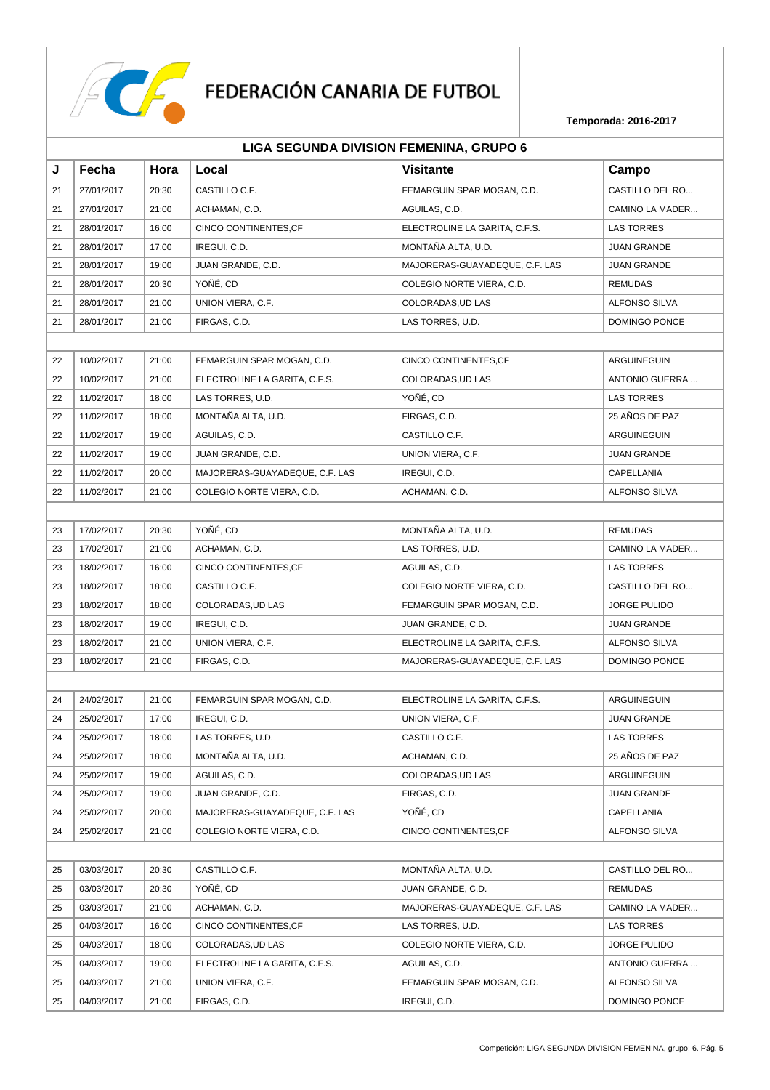

|    | LIGA SEGUNDA DIVISION FEMENINA, GRUPO 6 |       |                                |                                |                      |  |
|----|-----------------------------------------|-------|--------------------------------|--------------------------------|----------------------|--|
| J  | Fecha                                   | Hora  | Local                          | <b>Visitante</b>               | Campo                |  |
| 21 | 27/01/2017                              | 20:30 | CASTILLO C.F.                  | FEMARGUIN SPAR MOGAN, C.D.     | CASTILLO DEL RO      |  |
| 21 | 27/01/2017                              | 21:00 | ACHAMAN, C.D.                  | AGUILAS, C.D.                  | CAMINO LA MADER      |  |
| 21 | 28/01/2017                              | 16:00 | CINCO CONTINENTES, CF          | ELECTROLINE LA GARITA, C.F.S.  | <b>LAS TORRES</b>    |  |
| 21 | 28/01/2017                              | 17:00 | IREGUI, C.D.                   | MONTAÑA ALTA, U.D.             | <b>JUAN GRANDE</b>   |  |
| 21 | 28/01/2017                              | 19:00 | JUAN GRANDE, C.D.              | MAJORERAS-GUAYADEQUE, C.F. LAS | <b>JUAN GRANDE</b>   |  |
| 21 | 28/01/2017                              | 20:30 | YOÑÉ, CD                       | COLEGIO NORTE VIERA, C.D.      | <b>REMUDAS</b>       |  |
| 21 | 28/01/2017                              | 21:00 | UNION VIERA, C.F.              | COLORADAS, UD LAS              | ALFONSO SILVA        |  |
| 21 | 28/01/2017                              | 21:00 | FIRGAS, C.D.                   | LAS TORRES, U.D.               | DOMINGO PONCE        |  |
|    |                                         |       |                                |                                |                      |  |
| 22 | 10/02/2017                              | 21:00 | FEMARGUIN SPAR MOGAN, C.D.     | CINCO CONTINENTES, CF          | ARGUINEGUIN          |  |
| 22 | 10/02/2017                              | 21:00 | ELECTROLINE LA GARITA, C.F.S.  | COLORADAS, UD LAS              | ANTONIO GUERRA       |  |
| 22 | 11/02/2017                              | 18:00 | LAS TORRES, U.D.               | YOÑÉ, CD                       | <b>LAS TORRES</b>    |  |
| 22 | 11/02/2017                              | 18:00 | MONTAÑA ALTA, U.D.             | FIRGAS, C.D.                   | 25 AÑOS DE PAZ       |  |
| 22 | 11/02/2017                              | 19:00 | AGUILAS, C.D.                  | CASTILLO C.F.                  | ARGUINEGUIN          |  |
| 22 | 11/02/2017                              | 19:00 | JUAN GRANDE, C.D.              | UNION VIERA, C.F.              | <b>JUAN GRANDE</b>   |  |
| 22 | 11/02/2017                              | 20:00 | MAJORERAS-GUAYADEQUE, C.F. LAS | IREGUI, C.D.                   | CAPELLANIA           |  |
| 22 | 11/02/2017                              | 21:00 | COLEGIO NORTE VIERA, C.D.      | ACHAMAN, C.D.                  | <b>ALFONSO SILVA</b> |  |
|    |                                         |       |                                |                                |                      |  |
| 23 | 17/02/2017                              | 20:30 | YOÑÉ, CD                       | MONTAÑA ALTA, U.D.             | <b>REMUDAS</b>       |  |
| 23 | 17/02/2017                              | 21:00 | ACHAMAN, C.D.                  | LAS TORRES, U.D.               | CAMINO LA MADER      |  |
| 23 | 18/02/2017                              | 16:00 | CINCO CONTINENTES, CF          | AGUILAS, C.D.                  | <b>LAS TORRES</b>    |  |
| 23 | 18/02/2017                              | 18:00 | CASTILLO C.F.                  | COLEGIO NORTE VIERA, C.D.      | CASTILLO DEL RO      |  |
| 23 | 18/02/2017                              | 18:00 | COLORADAS, UD LAS              | FEMARGUIN SPAR MOGAN, C.D.     | <b>JORGE PULIDO</b>  |  |
| 23 | 18/02/2017                              | 19:00 | IREGUI, C.D.                   | JUAN GRANDE, C.D.              | JUAN GRANDE          |  |
| 23 | 18/02/2017                              | 21:00 | UNION VIERA, C.F.              | ELECTROLINE LA GARITA, C.F.S.  | <b>ALFONSO SILVA</b> |  |
| 23 | 18/02/2017                              | 21:00 | FIRGAS, C.D.                   | MAJORERAS-GUAYADEQUE, C.F. LAS | DOMINGO PONCE        |  |
|    |                                         |       |                                |                                |                      |  |
| 24 | 24/02/2017                              | 21:00 | FEMARGUIN SPAR MOGAN, C.D.     | ELECTROLINE LA GARITA, C.F.S.  | ARGUINEGUIN          |  |
| 24 | 25/02/2017                              | 17:00 | IREGUI, C.D.                   | UNION VIERA, C.F.              | <b>JUAN GRANDE</b>   |  |
| 24 | 25/02/2017                              | 18:00 | LAS TORRES, U.D.               | CASTILLO C.F.                  | <b>LAS TORRES</b>    |  |
| 24 | 25/02/2017                              | 18:00 | MONTAÑA ALTA, U.D.             | ACHAMAN, C.D.                  | 25 AÑOS DE PAZ       |  |
| 24 | 25/02/2017                              | 19:00 | AGUILAS, C.D.                  | COLORADAS, UD LAS              | ARGUINEGUIN          |  |
| 24 | 25/02/2017                              | 19:00 | JUAN GRANDE, C.D.              | FIRGAS, C.D.                   | JUAN GRANDE          |  |
| 24 | 25/02/2017                              | 20:00 | MAJORERAS-GUAYADEQUE, C.F. LAS | YOÑÉ, CD                       | CAPELLANIA           |  |
| 24 | 25/02/2017                              | 21:00 | COLEGIO NORTE VIERA, C.D.      | CINCO CONTINENTES, CF          | <b>ALFONSO SILVA</b> |  |
|    |                                         |       |                                |                                |                      |  |
| 25 | 03/03/2017                              | 20:30 | CASTILLO C.F.                  | MONTAÑA ALTA, U.D.             | CASTILLO DEL RO      |  |
| 25 | 03/03/2017                              | 20:30 | YOÑÉ, CD                       | JUAN GRANDE, C.D.              | <b>REMUDAS</b>       |  |
| 25 | 03/03/2017                              | 21:00 | ACHAMAN, C.D.                  | MAJORERAS-GUAYADEQUE, C.F. LAS | CAMINO LA MADER      |  |
| 25 | 04/03/2017                              | 16:00 | CINCO CONTINENTES, CF          | LAS TORRES, U.D.               | <b>LAS TORRES</b>    |  |
| 25 | 04/03/2017                              | 18:00 | COLORADAS, UD LAS              | COLEGIO NORTE VIERA, C.D.      | JORGE PULIDO         |  |
| 25 | 04/03/2017                              | 19:00 | ELECTROLINE LA GARITA, C.F.S.  | AGUILAS, C.D.                  | ANTONIO GUERRA       |  |
| 25 | 04/03/2017                              | 21:00 | UNION VIERA, C.F.              | FEMARGUIN SPAR MOGAN, C.D.     | ALFONSO SILVA        |  |
| 25 | 04/03/2017                              | 21:00 | FIRGAS, C.D.                   | IREGUI, C.D.                   | DOMINGO PONCE        |  |